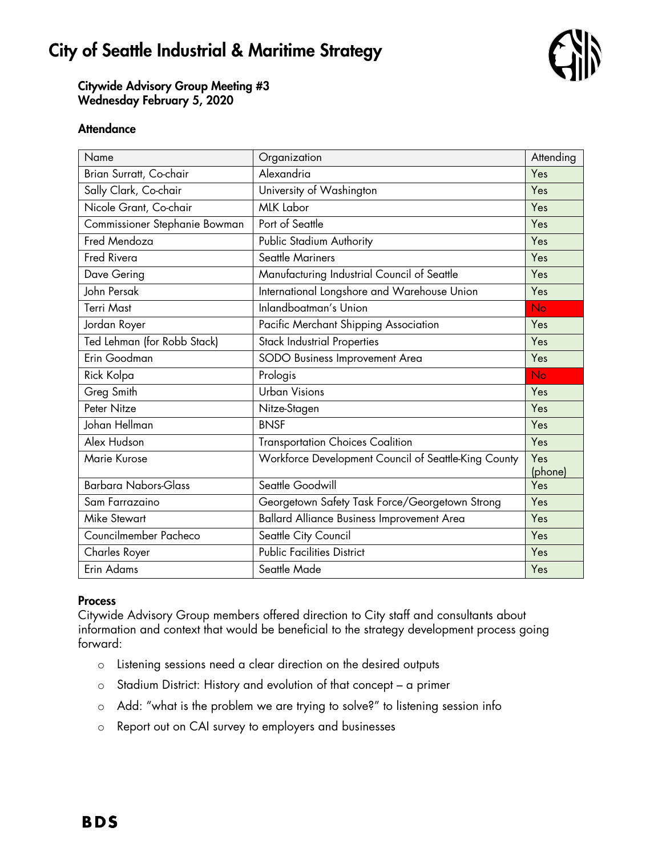# City of Seattle Industrial & Maritime Strategy



Citywide Advisory Group Meeting #3 Wednesday February 5, 2020

### **Attendance**

| Name                          | Organization                                         | Attending      |
|-------------------------------|------------------------------------------------------|----------------|
| Brian Surratt, Co-chair       | Alexandria                                           | Yes            |
| Sally Clark, Co-chair         | University of Washington                             | Yes            |
| Nicole Grant, Co-chair        | <b>MLK Labor</b>                                     | Yes            |
| Commissioner Stephanie Bowman | Port of Seattle                                      | Yes            |
| Fred Mendoza                  | Public Stadium Authority                             | Yes            |
| <b>Fred Rivera</b>            | <b>Seattle Mariners</b>                              | Yes            |
| Dave Gering                   | Manufacturing Industrial Council of Seattle          | Yes            |
| John Persak                   | International Longshore and Warehouse Union          | Yes            |
| <b>Terri Mast</b>             | Inlandboatman's Union                                | No.            |
| Jordan Royer                  | Pacific Merchant Shipping Association                | Yes            |
| Ted Lehman (for Robb Stack)   | <b>Stack Industrial Properties</b>                   | Yes            |
| Erin Goodman                  | SODO Business Improvement Area                       | Yes            |
| Rick Kolpa                    | Prologis                                             | No             |
| Greg Smith                    | <b>Urban Visions</b>                                 | Yes            |
| Peter Nitze                   | Nitze-Stagen                                         | Yes            |
| Johan Hellman                 | <b>BNSF</b>                                          | Yes            |
| Alex Hudson                   | <b>Transportation Choices Coalition</b>              | Yes            |
| Marie Kurose                  | Workforce Development Council of Seattle-King County | Yes<br>(phone) |
| <b>Barbara Nabors-Glass</b>   | Seattle Goodwill                                     | Yes            |
| Sam Farrazaino                | Georgetown Safety Task Force/Georgetown Strong       | Yes            |
| <b>Mike Stewart</b>           | <b>Ballard Alliance Business Improvement Area</b>    | Yes            |
| Councilmember Pacheco         | Seattle City Council                                 | Yes            |
| Charles Royer                 | <b>Public Facilities District</b>                    | Yes            |
| Erin Adams                    | Seattle Made                                         | Yes            |

#### Process

Citywide Advisory Group members offered direction to City staff and consultants about information and context that would be beneficial to the strategy development process going forward:

- o Listening sessions need a clear direction on the desired outputs
- o Stadium District: History and evolution of that concept a primer
- o Add: "what is the problem we are trying to solve?" to listening session info
- o Report out on CAI survey to employers and businesses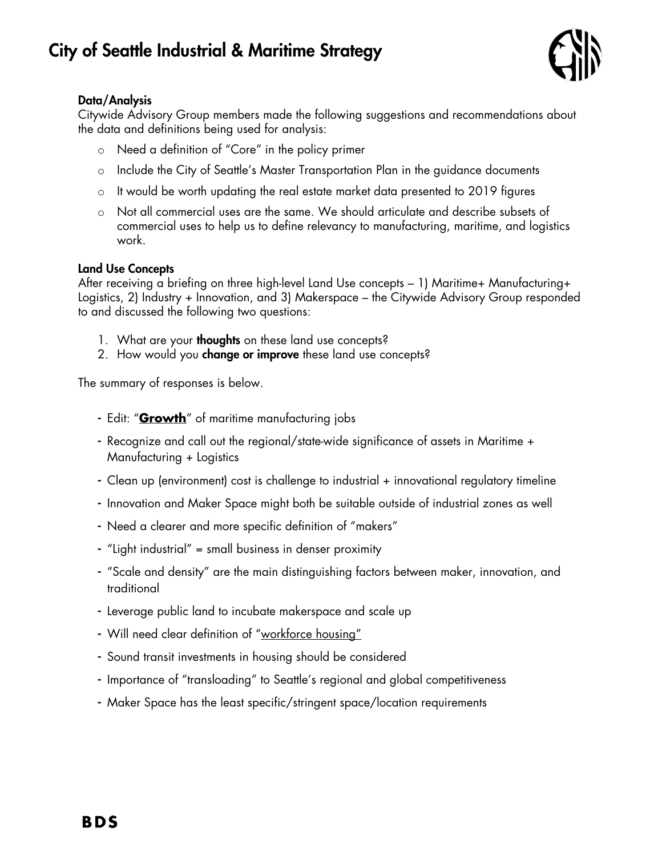

# Data/Analysis

Citywide Advisory Group members made the following suggestions and recommendations about the data and definitions being used for analysis:

- o Need a definition of "Core" in the policy primer
- o Include the City of Seattle's Master Transportation Plan in the guidance documents
- o It would be worth updating the real estate market data presented to 2019 figures
- o Not all commercial uses are the same. We should articulate and describe subsets of commercial uses to help us to define relevancy to manufacturing, maritime, and logistics work.

## Land Use Concepts

After receiving a briefing on three high-level Land Use concepts – 1) Maritime+ Manufacturing+ Logistics, 2) Industry + Innovation, and 3) Makerspace – the Citywide Advisory Group responded to and discussed the following two questions:

- 1. What are your **thoughts** on these land use concepts?
- 2. How would you **change or improve** these land use concepts?

The summary of responses is below.

- Edit: "**Growth**" of maritime manufacturing jobs
- Recognize and call out the regional/state-wide significance of assets in Maritime + Manufacturing + Logistics
- Clean up (environment) cost is challenge to industrial + innovational regulatory timeline
- Innovation and Maker Space might both be suitable outside of industrial zones as well
- Need a clearer and more specific definition of "makers"
- "Light industrial" = small business in denser proximity
- "Scale and density" are the main distinguishing factors between maker, innovation, and traditional
- Leverage public land to incubate makerspace and scale up
- Will need clear definition of "workforce housing"
- Sound transit investments in housing should be considered
- Importance of "transloading" to Seattle's regional and global competitiveness
- Maker Space has the least specific/stringent space/location requirements